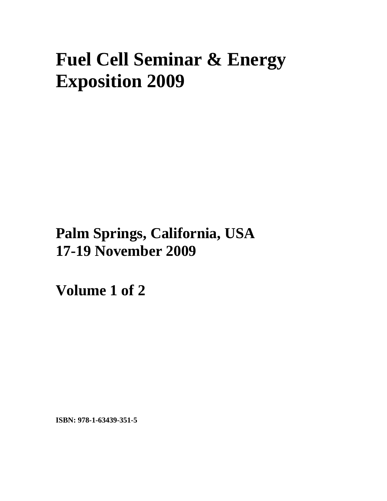# **Fuel Cell Seminar & Energy Exposition 2009**

## **Palm Springs, California, USA 17-19 November 2009**

**Volume 1 of 2** 

**ISBN: 978-1-63439-351-5**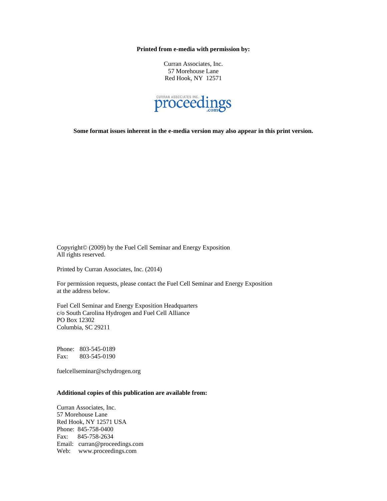**Printed from e-media with permission by:** 

Curran Associates, Inc. 57 Morehouse Lane Red Hook, NY 12571



**Some format issues inherent in the e-media version may also appear in this print version.** 

Copyright© (2009) by the Fuel Cell Seminar and Energy Exposition All rights reserved.

Printed by Curran Associates, Inc. (2014)

For permission requests, please contact the Fuel Cell Seminar and Energy Exposition at the address below.

Fuel Cell Seminar and Energy Exposition Headquarters c/o South Carolina Hydrogen and Fuel Cell Alliance PO Box 12302 Columbia, SC 29211

Phone: 803-545-0189 Fax: 803-545-0190

fuelcellseminar@schydrogen.org

#### **Additional copies of this publication are available from:**

Curran Associates, Inc. 57 Morehouse Lane Red Hook, NY 12571 USA Phone: 845-758-0400 Fax: 845-758-2634 Email: curran@proceedings.com Web: www.proceedings.com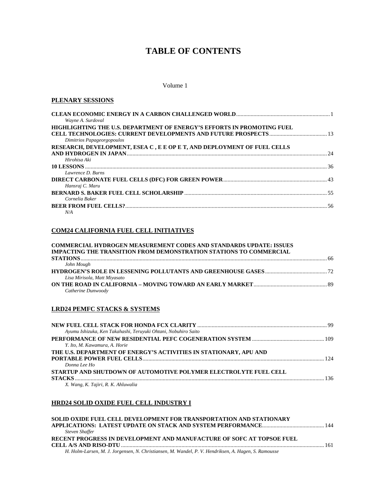### **TABLE OF CONTENTS**

#### Volume 1

#### **PLENARY SESSIONS**

| Wayne A. Surdoval                                                       |  |
|-------------------------------------------------------------------------|--|
| HIGHLIGHTING THE U.S. DEPARTMENT OF ENERGY'S EFFORTS IN PROMOTING FUEL  |  |
|                                                                         |  |
| Dimitrios Papageorgopoulos                                              |  |
| RESEARCH, DEVELOPMENT, ESEA C, E E OP E T, AND DEPLOYMENT OF FUEL CELLS |  |
|                                                                         |  |
| Hirohisa Aki                                                            |  |
|                                                                         |  |
| Lawrence D. Burns                                                       |  |
|                                                                         |  |
| Hansraj C. Maru                                                         |  |
|                                                                         |  |
| Cornelia Baker                                                          |  |
|                                                                         |  |
| N/A                                                                     |  |

#### **COM24 CALIFORNIA FUEL CELL INITIATIVES**

| <b>COMMERCIAL HYDROGEN MEASUREMENT CODES AND STANDARDS UPDATE: ISSUES</b> |    |
|---------------------------------------------------------------------------|----|
| IMPACTING THE TRANSITION FROM DEMONSTRATION STATIONS TO COMMERCIAL        |    |
|                                                                           | 66 |
| John Mough                                                                |    |
|                                                                           |    |
| Lisa Mirisola, Matt Miyasato                                              |    |
|                                                                           |    |
| Catherine Dunwoody                                                        |    |

#### **LRD24 PEMFC STACKS & SYSTEMS**

| Ayumu Ishizuka, Ken Takahashi, Teruyuki Ohtani, Nobuhiro Saito    |  |
|-------------------------------------------------------------------|--|
|                                                                   |  |
| Y. Ito, M. Kawamura, A. Horie                                     |  |
| THE U.S. DEPARTMENT OF ENERGY'S ACTIVITIES IN STATIONARY, APU AND |  |
|                                                                   |  |
| Donna Lee Ho                                                      |  |
| STARTUP AND SHUTDOWN OF AUTOMOTIVE POLYMER ELECTROLYTE FUEL CELL  |  |
|                                                                   |  |
| X. Wang, K. Tajiri, R. K. Ahluwalia                               |  |
|                                                                   |  |

#### **HRD24 SOLID OXIDE FUEL CELL INDUSTRY I**

| SOLID OXIDE FUEL CELL DEVELOPMENT FOR TRANSPORTATION AND STATIONARY                                  |  |
|------------------------------------------------------------------------------------------------------|--|
|                                                                                                      |  |
| Steven Shaffer                                                                                       |  |
| RECENT PROGRESS IN DEVELOPMENT AND MANUFACTURE OF SOFC AT TOPSOE FUEL                                |  |
|                                                                                                      |  |
| H. Holm-Larsen, M. J. Jorgensen, N. Christiansen, M. Wandel, P. V. Hendriksen, A. Hagen, S. Ramousse |  |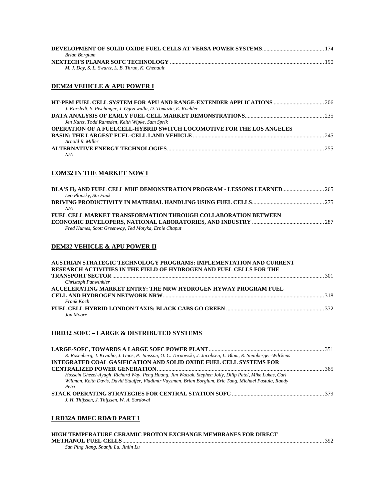| Brian Borglum                                     |        |
|---------------------------------------------------|--------|
|                                                   | . 190. |
| M. J. Day, S. L. Swartz, L. B. Thrun, K. Chenault |        |

#### **DEM24 VEHICLE & APU POWER I**

| J. Karsledt, S. Pischinger, J. Ogrzewalla, D. Tomazic, E. Koehler           |  |
|-----------------------------------------------------------------------------|--|
|                                                                             |  |
| Jen Kurtz, Todd Ramsden, Keith Wipke, Sam Sprik                             |  |
| <b>OPERATION OF A FUELCELL-HYBRID SWITCH LOCOMOTIVE FOR THE LOS ANGELES</b> |  |
|                                                                             |  |
| Arnold R. Miller                                                            |  |
|                                                                             |  |
| N/A                                                                         |  |

#### **COM32 IN THE MARKET NOW I**

| DLA'S H <sub>2</sub> AND FUEL CELL MHE DEMONSTRATION PROGRAM - LESSONS LEARNED 265 |  |
|------------------------------------------------------------------------------------|--|
| Leo Plonsky, Stu Funk                                                              |  |
|                                                                                    |  |
| N/A                                                                                |  |
| FUEL CELL MARKET TRANSFORMATION THROUGH COLLABORATION BETWEEN                      |  |
|                                                                                    |  |
| Fred Humes, Scott Greenway, Ted Motyka, Ernie Chaput                               |  |
|                                                                                    |  |

#### **DEM32 VEHICLE & APU POWER II**

| AUSTRIAN STRATEGIC TECHNOLOGY PROGRAMS: IMPLEMENTATION AND CURRENT         |  |
|----------------------------------------------------------------------------|--|
| <b>RESEARCH ACTIVITIES IN THE FIELD OF HYDROGEN AND FUEL CELLS FOR THE</b> |  |
|                                                                            |  |
| Christoph Panwinkler                                                       |  |
| ACCELERATING MARKET ENTRY: THE NRW HYDROGEN HYWAY PROGRAM FUEL             |  |
|                                                                            |  |
| Frank Koch                                                                 |  |
|                                                                            |  |
| <b>Jon Moore</b>                                                           |  |

#### **HRD32 SOFC – LARGE & DISTRIBUTED SYSTEMS**

| R. Rosenberg, J. Kiviaho, J. Göös, P. Jansson, O. C. Tarnowski, J. Jacobsen, L. Blum, R. Steinberger-Wilckens |     |
|---------------------------------------------------------------------------------------------------------------|-----|
| INTEGRATED COAL GASIFICATION AND SOLID OXIDE FUEL CELL SYSTEMS FOR                                            |     |
|                                                                                                               | 365 |
| Hossein Ghezel-Ayagh, Richard Way, Peng Huang, Jim Walzak, Stephen Jolly, Dilip Patel, Mike Lukas, Carl       |     |
| Willman, Keith Davis, David Stauffer, Vladimir Vaysman, Brian Borglum, Eric Tang, Michael Pastula, Randy      |     |
| Petri                                                                                                         |     |
|                                                                                                               |     |
| J. H. Thijssen, J. Thijssen, W. A. Surdoval                                                                   |     |
|                                                                                                               |     |

#### **LRD32A DMFC RD&D PART 1**

| HIGH TEMPERATURE CERAMIC PROTON EXCHANGE MEMBRANES FOR DIRECT |  |
|---------------------------------------------------------------|--|
|                                                               |  |
| San Ping Jiang, Shanfu Lu, Jinlin Lu                          |  |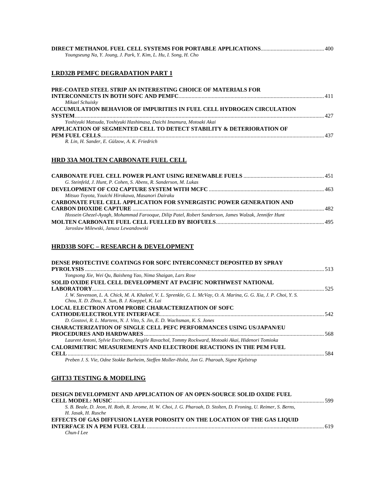| Youngseung Na, Y. Joung, J. Park, Y. Kim, L. Hu, I. Song, H. Cho |  |  |
|------------------------------------------------------------------|--|--|

#### **LRD32B PEMFC DEGRADATION PART 1**

| PRE-COATED STEEL STRIP AN INTERESTING CHOICE OF MATERIALS FOR         |  |
|-----------------------------------------------------------------------|--|
|                                                                       |  |
| Mikael Schuisky                                                       |  |
| ACCUMULATION BEHAVIOR OF IMPURITIES IN FUEL CELL HYDROGEN CIRCULATION |  |
|                                                                       |  |
| Yoshiyuki Matsuda, Yoshiyuki Hashimasa, Daichi Imamura, Motoaki Akai  |  |
| APPLICATION OF SEGMENTED CELL TO DETECT STABILITY & DETERIORATION OF  |  |
|                                                                       |  |
| R. Lin, H. Sander, E. Gülzow, A. K. Friedrich                         |  |
|                                                                       |  |

#### **HRD 33A MOLTEN CARBONATE FUEL CELL**

| G. Steinfeld, J. Hunt, P. Cohen, S. Abens, R. Sanderson, M. Lukas                                   |  |
|-----------------------------------------------------------------------------------------------------|--|
|                                                                                                     |  |
| Mitsuo Toyota, Youichi Hirokawa, Masanori Dairaku                                                   |  |
| <b>CARBONATE FUEL CELL APPLICATION FOR SYNERGISTIC POWER GENERATION AND</b>                         |  |
|                                                                                                     |  |
| Hossein Ghezel-Ayagh, Mohammad Farooque, Dilip Patel, Robert Sanderson, James Walzak, Jennifer Hunt |  |
|                                                                                                     |  |
| Jaroslaw Milewski, Janusz Lewandowski                                                               |  |

#### **HRD33B SOFC – RESEARCH & DEVELOPMENT**

| DENSE PROTECTIVE COATINGS FOR SOFC INTERCONNECT DEPOSITED BY SPRAY                                                                                                      |       |
|-------------------------------------------------------------------------------------------------------------------------------------------------------------------------|-------|
|                                                                                                                                                                         |       |
| Yongsong Xie, Wei Qu, Baisheng Yao, Nima Shaigan, Lars Rose                                                                                                             |       |
| SOLID OXIDE FUEL CELL DEVELOPMENT AT PACIFIC NORTHWEST NATIONAL                                                                                                         |       |
|                                                                                                                                                                         |       |
| J. W. Stevenson, L. A. Chick, M. A. Khaleel, V. L. Sprenkle, G. L. McVay, O. A. Marina, G. G. Xia, J. P. Choi, Y. S.<br>Chou, X. D. Zhou, X. Sun, B. J. Koeppel, K. Lai |       |
| LOCAL ELECTRON ATOM PROBE CHARACTERIZATION OF SOFC                                                                                                                      |       |
|                                                                                                                                                                         | - 542 |
| D. Gostovi, R. L. Martens, N. J. Vito, S. Jin, E. D. Wachsman, K. S. Jones                                                                                              |       |
| <b>CHARACTERIZATION OF SINGLE CELL PEFC PERFORMANCES USING US/JAPAN/EU</b>                                                                                              |       |
|                                                                                                                                                                         | 568   |
| Laurent Antoni, Sylvie Escribano, Angèle Ravachol, Tommy Rockward, Motoaki Akai, Hidenori Tomioka                                                                       |       |
| <b>CALORIMETRIC MEASUREMENTS AND ELECTRODE REACTIONS IN THE PEM FUEL</b>                                                                                                |       |
| CELL.                                                                                                                                                                   | 584   |
| Preben J. S. Vie, Odne Stokke Burheim, Steffen Moller-Holst, Jon G. Pharoah, Signe Kielstrup                                                                            |       |

#### **GHT33 TESTING & MODELING**

| DESIGN DEVELOPMENT AND APPLICATION OF AN OPEN-SOURCE SOLID OXIDE FUEL                                             |     |
|-------------------------------------------------------------------------------------------------------------------|-----|
|                                                                                                                   |     |
| S. B. Beale, D. Jeon, H. Roth, R. Jerome, H. W. Choi, J. G. Pharoah, D. Stolten, D. Froning, U. Reimer, S. Berns, |     |
| H. Jasak. H. Rusche                                                                                               |     |
| EFFECTS OF GAS DIFFUSION LAYER POROSITY ON THE LOCATION OF THE GAS LIQUID                                         |     |
|                                                                                                                   | 619 |
| $Chun-IIee$                                                                                                       |     |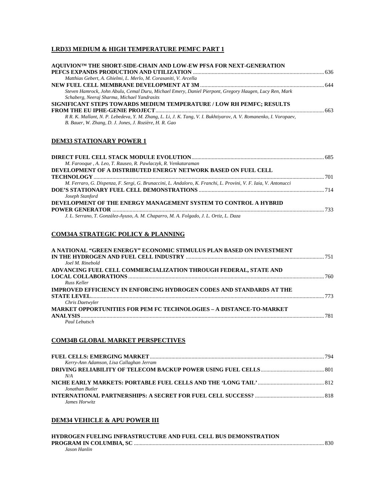#### **LRD33 MEDIUM & HIGH TEMPERATURE PEMFC PART 1**

| AOUIVION™ THE SHORT-SIDE-CHAIN AND LOW-EW PFSA FOR NEXT-GENERATION                                                                                                          |      |
|-----------------------------------------------------------------------------------------------------------------------------------------------------------------------------|------|
| Matthias Gebert, A. Ghielmi, L. Merlo, M. Corasaniti, V. Arcella                                                                                                            |      |
|                                                                                                                                                                             |      |
| Steven Hamrock, John Abulu, Cemal Duru, Michael Emery, Daniel Pierpont, Gregory Haugen, Lucy Ren, Mark<br>Schaberg, Neeraj Sharma, Michael Yandrasits                       |      |
| SIGNIFICANT STEPS TOWARDS MEDIUM TEMPERATURE / LOW RH PEMFC; RESULTS                                                                                                        |      |
|                                                                                                                                                                             |      |
| R.R. K. Mallant, N. P. Lebedeva, Y. M. Zhang, L. Li, J. K. Tang, V. I. Bukhtiyarov, A. V. Romanenko, I. Voropaev,<br>B. Bauer, W. Zhang, D. J. Jones, J. Rozière, H. R. Gao |      |
| <b>DEM33 STATIONARY POWER 1</b>                                                                                                                                             |      |
| M Fanaania A Las T Danaan D Danitaanit D Vantatananian                                                                                                                      | .685 |

| M. Farooque, A. Leo, T. Rauseo, R. Pawlaczyk, R. Venkataraman                                                   |     |
|-----------------------------------------------------------------------------------------------------------------|-----|
| DEVELOPMENT OF A DISTRIBUTED ENERGY NETWORK BASED ON FUEL CELL                                                  |     |
|                                                                                                                 |     |
| M. Ferraro, G. Dispenza, F. Sergi, G. Brunaccini, L. Andaloro, K. Franchi, L. Provini, V. F. Iaia, V. Antonucci |     |
|                                                                                                                 |     |
| Joseph Stanford                                                                                                 |     |
| DEVELOPMENT OF THE ENERGY MANAGEMENT SYSTEM TO CONTROL A HYBRID                                                 |     |
|                                                                                                                 | 733 |
| J. L. Serrano, T. González-Ayuso, A. M. Chaparro, M. A. Folgado, J. L. Ortiz, L. Daza                           |     |
|                                                                                                                 |     |

#### **COM34A STRATEGIC POLICY & PLANNING**

| A NATIONAL "GREEN ENERGY" ECONOMIC STIMULUS PLAN BASED ON INVESTMENT        |     |
|-----------------------------------------------------------------------------|-----|
|                                                                             |     |
| Joel M. Rinebold                                                            |     |
| ADVANCING FUEL CELL COMMERCIALIZATION THROUGH FEDERAL, STATE AND            |     |
|                                                                             | 760 |
| Russ Keller                                                                 |     |
| <b>IMPROVED EFFICIENCY IN ENFORCING HYDROGEN CODES AND STANDARDS AT THE</b> |     |
| <b>STATE LEVEL</b>                                                          | 773 |
| Chris Daetwyler                                                             |     |
| <b>MARKET OPPORTUNITIES FOR PEM FC TECHNOLOGIES - A DISTANCE-TO-MARKET</b>  |     |
|                                                                             | 781 |
| Paul Lebutsch                                                               |     |

#### **COM34B GLOBAL MARKET PERSPECTIVES**

| Kerry-Ann Adamson, Lisa Callaghan Jerram |  |
|------------------------------------------|--|
|                                          |  |
| N/A                                      |  |
|                                          |  |
| Jonathan Butler                          |  |
|                                          |  |
| James Horwitz                            |  |

#### **DEM34 VEHICLE & APU POWER III**

| <b>HYDROGEN FUELING INFRASTRUCTURE AND FUEL CELL BUS DEMONSTRATION</b> |  |
|------------------------------------------------------------------------|--|
|                                                                        |  |
| Jason Hanlin                                                           |  |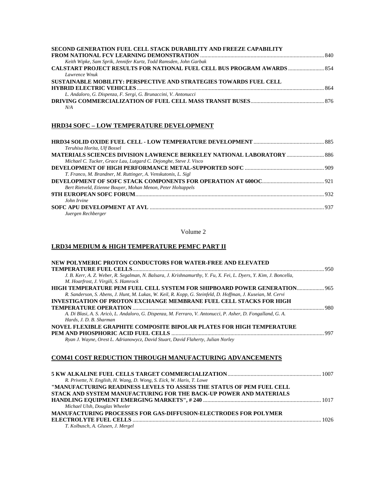| SECOND GENERATION FUEL CELL STACK DURABILITY AND FREEZE CAPABILITY             |     |
|--------------------------------------------------------------------------------|-----|
|                                                                                |     |
| Keith Wipke, Sam Sprik, Jennifer Kurtz, Todd Ramsden, John Garbak              |     |
| <b>CALSTART PROJECT RESULTS FOR NATIONAL FUEL CELL BUS PROGRAM AWARDS  854</b> |     |
| Lawrence Wnuk                                                                  |     |
| SUSTAINABLE MOBILITY: PERSPECTIVE AND STRATEGIES TOWARDS FUEL CELL             |     |
|                                                                                | 864 |
| L. Andaloro, G. Dispenza, F. Sergi, G. Brunaccini, V. Antonucci                |     |
|                                                                                |     |
| N/A                                                                            |     |

#### **HRD34 SOFC – LOW TEMPERATURE DEVELOPMENT**

| Teruhisa Horita, Ulf Bossel                                       |  |
|-------------------------------------------------------------------|--|
|                                                                   |  |
| Michael C. Tucker, Grace Lau, Lutgard C. Dejonghe, Steve J. Visco |  |
|                                                                   |  |
| T. Franco, M. Brandner, M. Ruttinger, A. Venskutonis, L. Sigl     |  |
|                                                                   |  |
| Bert Rietveld, Etienne Bouyer, Mohan Menon, Peter Holtappels      |  |
|                                                                   |  |
| John Irvine                                                       |  |
|                                                                   |  |
| $L_{\text{total}}$ and $L_{\text{total}}$                         |  |

*Juergen Rechberger* 

Volume 2

#### **LRD34 MEDIUM & HIGH TEMPERATURE PEMFC PART II**

| NEW POLYMERIC PROTON CONDUCTORS FOR WATER-FREE AND ELEVATED                                                       |  |
|-------------------------------------------------------------------------------------------------------------------|--|
|                                                                                                                   |  |
| J. B. Kerr, A. Z. Weber, R. Segalman, N. Balsara, J. Krishnamurthy, Y. Fu, X. Fei, L. Dyers, Y. Kim, J. Boncella, |  |
| M. Hoarfrost, J. Virgili, S. Hamrock                                                                              |  |
|                                                                                                                   |  |
| R. Sanderson, S. Abens, J. Hunt, M. Lukas, W. Keil, R. Kopp, G. Steinfeld, D. Hoffman, J. Kuseian, M. Cervi       |  |
| INVESTIGATION OF PROTON EXCHANGE MEMBRANE FUEL CELL STACKS FOR HIGH                                               |  |
|                                                                                                                   |  |
| A. Di Blasi, A. S. Aricò, L. Andaloro, G. Dispenza, M. Ferraro, V. Antonucci, P. Asher, D. Fongalland, G. A.      |  |
| Hards, J. D. B. Sharman                                                                                           |  |
| NOVEL FLEXIBLE GRAPHITE COMPOSITE BIPOLAR PLATES FOR HIGH TEMPERATURE                                             |  |
|                                                                                                                   |  |
| Ryan J. Wayne, Orest L. Adrianowycz, David Stuart, David Flaherty, Julian Norley                                  |  |
|                                                                                                                   |  |
|                                                                                                                   |  |

#### **COM41 COST REDUCTION THROUGH MANUFACTURING ADVANCEMENTS**

| R. Privette, N. English, H. Wang, D. Wong, S. Eick, W. Haris, T. Lowe |  |
|-----------------------------------------------------------------------|--|
| "MANUFACTURING READINESS LEVELS TO ASSESS THE STATUS OF PEM FUEL CELL |  |
| STACK AND SYSTEM MANUFACTURING FOR THE BACK-UP POWER AND MATERIALS    |  |
|                                                                       |  |
| Michael Ulsh, Douglas Wheeler                                         |  |
| MANUFACTURING PROCESSES FOR GAS-DIFFUSION-ELECTRODES FOR POLYMER      |  |
|                                                                       |  |
| T. Kolbusch, A. Glusen, J. Mergel                                     |  |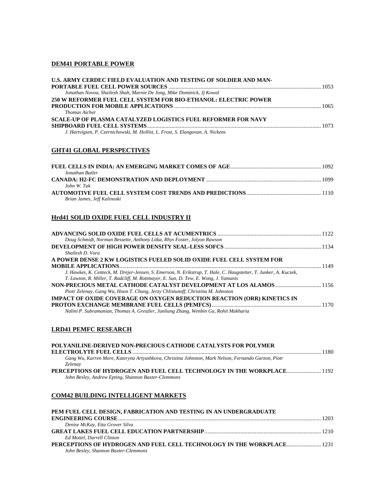#### **DEM41 PORTABLE POWER**

| U.S. ARMY CERDEC FIELD EVALUATION AND TESTING OF SOLDIER AND MAN-               |  |
|---------------------------------------------------------------------------------|--|
| Jonathan Novoa, Shailesh Shah, Marnie De Jong, Mike Dominick, Jj Kowal          |  |
| 250 W REFORMER FUEL CELL SYSTEM FOR BIO-ETHANOL: ELECTRIC POWER                 |  |
| <b>Thomas Aicher</b>                                                            |  |
| <b>SCALE-UP OF PLASMA CATALYZED LOGISTICS FUEL REFORMER FOR NAVY</b>            |  |
| J. Hartvigsen, P. Czernichowski, M. Hollist, L. Frost, S. Elangovan, A. Nickens |  |

#### **GHT41 GLOBAL PERSPECTIVES**

| Jonathan Butler             |  |
|-----------------------------|--|
|                             |  |
| John W. Tak                 |  |
|                             |  |
| Brian James, Jeff Kalinoski |  |
|                             |  |

#### **Hrd41 SOLID OXIDE FUEL CELL INDUSTRY II**

| Doug Schmidt, Norman Bessette, Anthony Litka, Rhys Foster, Jolyon Rawson                                          |  |
|-------------------------------------------------------------------------------------------------------------------|--|
|                                                                                                                   |  |
| Shailesh D. Vora                                                                                                  |  |
| A POWER DENSE 2 KW LOGISTICS FUELED SOLID OXIDE FUEL CELL SYSTEM FOR                                              |  |
|                                                                                                                   |  |
| J. Hawkes, K. Centeck, M. Drejer-Jensen, S. Emerson, N. Erikstrup, T. Hale, C. Haugstetter, T. Junker, A. Kuczek, |  |
| T. Lawton, R. Miller, T. Radcliff, M. Rottmayer, E. Sun, D. Tew, E. Wong, J. Yamanis                              |  |
|                                                                                                                   |  |
| Piotr Zelenay, Gang Wu, Hoon T. Chung, Jerzy Chlistunoff, Christina M. Johnston                                   |  |
| IMPACT OF OXIDE COVERAGE ON OXYGEN REDUCTION REACTION (ORR) KINETICS IN                                           |  |
|                                                                                                                   |  |
| Nalini P. Subramanian, Thomas A. Greszler, Junliang Zhang, Wenbin Gu, Rohit Makharia                              |  |

#### **LRD41 PEMFC RESEARCH**

| POLYANILINE-DERIVED NON-PRECIOUS CATHODE CATALYSTS FOR POLYMER                                                                |  |
|-------------------------------------------------------------------------------------------------------------------------------|--|
|                                                                                                                               |  |
| Gang Wu, Karren More, Kateryna Artyushkova, Christina Johnston, Mark Nelson, Fernando Garzon, Piotr<br>Zelenav                |  |
| PERCEPTIONS OF HYDROGEN AND FUEL CELL TECHNOLOGY IN THE WORKPLACE 1192<br>John Besley, Andrew Epting, Shannon Baxter-Clemmons |  |

#### **COM42 BUILDING INTELLIGENT MARKETS**

| PEM FUEL CELL DESIGN. FABRICATION AND TESTING IN AN UNDERGRADUATE      |  |
|------------------------------------------------------------------------|--|
|                                                                        |  |
| Denise McKay, Etta Grover Silva                                        |  |
|                                                                        |  |
| Ed Mottel, Darrell Clinton                                             |  |
| PERCEPTIONS OF HYDROGEN AND FUEL CELL TECHNOLOGY IN THE WORKPLACE 1231 |  |
| John Besley, Shannon Baxter-Clemmons                                   |  |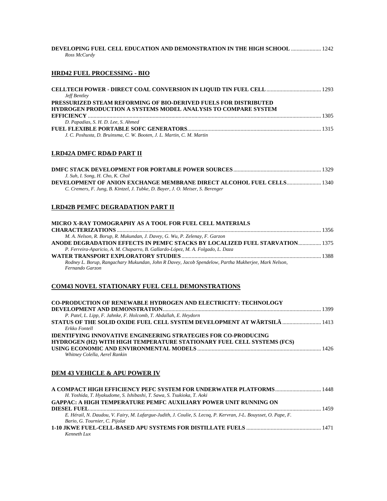| <b>DEVELOPING FUEL CELL EDUCATION AND DEMONSTRATION IN THE HIGH SCHOOL  1242</b><br>Ross McCurdy |  |
|--------------------------------------------------------------------------------------------------|--|
| <b>HRD42 FUEL PROCESSING - BIO</b>                                                               |  |
| <b>Jeff Bentley</b>                                                                              |  |
| PRESSURIZED STEAM REFORMING OF BIO-DERIVED FUELS FOR DISTRIBUTED                                 |  |

| <b>HYDROGEN PRODUCTION A SYSTEMS MODEL ANALYSIS TO COMPARE SYSTEM</b> |  |
|-----------------------------------------------------------------------|--|
|                                                                       |  |
| D. Papadias, S. H. D. Lee, S. Ahmed                                   |  |
|                                                                       |  |
| J. C. Poshusta, D. Bruinsma, C. W. Booten, J. L. Martin, C. M. Martin |  |

#### **LRD42A DMFC RD&D PART II**

| J. Suh, I. Song, H. Cho, K. Chol                                               |  |
|--------------------------------------------------------------------------------|--|
| <b>DEVELOPMENT OF ANION EXCHANGE MEMBRANE DIRECT ALCOHOL FUEL CELLS 1340</b>   |  |
| C. Cremers, F. Jung, B. Kintzel, J. Tubke, D. Bayer, J. O. Meiser, S. Berenger |  |

#### **LRD42B PEMFC DEGRADATION PART II**

| MICRO X-RAY TOMOGRAPHY AS A TOOL FOR FUEL CELL MATERIALS                                            |      |
|-----------------------------------------------------------------------------------------------------|------|
|                                                                                                     | 1356 |
| M. A. Nelson, R. Borup, R. Mukundan, J. Davey, G. Wu, P. Zelenay, F. Garzon                         |      |
| ANODE DEGRADATION EFFECTS IN PEMFC STACKS BY LOCALIZED FUEL STARVATION 1375                         |      |
| P. Ferreira-Aparicio, A. M. Chaparro, B. Gallardo-López, M. A. Folgado, L. Daza                     |      |
|                                                                                                     |      |
| Rodney L. Borup, Rangachary Mukundan, John R Davey, Jacob Spendelow, Partha Mukherjee, Mark Nelson, |      |
| Fernando Garzon                                                                                     |      |

#### **COM43 NOVEL STATIONARY FUEL CELL DEMONSTRATIONS**

| <b>CO-PRODUCTION OF RENEWABLE HYDROGEN AND ELECTRICITY: TECHNOLOGY</b>          |  |
|---------------------------------------------------------------------------------|--|
|                                                                                 |  |
| P. Patel, L. Lipp, F. Jahnke, F. Holcomb, T. Abdallah, E. Heydorn               |  |
| <b>STATUS OF THE SOLID OXIDE FUEL CELL SYSTEM DEVELOPMENT AT WÄRTSILÄ  1413</b> |  |
| Erkko Fontell                                                                   |  |
| <b>IDENTIFYING INNOVATIVE ENGINEERING STRATEGIES FOR CO-PRODUCING</b>           |  |
| <b>HYDROGEN (H2) WITH HIGH TEMPERATURE STATIONARY FUEL CELL SYSTEMS (FCS)</b>   |  |
|                                                                                 |  |
| Whitney Colella, Aerel Rankin                                                   |  |
| <b>DEM 43 VEHICLE &amp; APU POWER IV</b>                                        |  |
|                                                                                 |  |
|                                                                                 |  |

| H. Yoshida, T. Hyakudome, S. Ishibashi, T. Sawa, S. Tsukioka, T. Aoki                                           |  |
|-----------------------------------------------------------------------------------------------------------------|--|
| <b>GAPPAC: A HIGH TEMPERATURE PEMFC AUXILIARY POWER UNIT RUNNING ON</b>                                         |  |
|                                                                                                                 |  |
| E. Hérail, N. Daudou, V. Fairy, M. Lafargue-Judith, J. Coulie, S. Lecoq, P. Kervran, J-L. Bouysset, O. Pape, F. |  |
| Bario, G. Tournier, C. Pijolat                                                                                  |  |
|                                                                                                                 |  |
| Kenneth Lux                                                                                                     |  |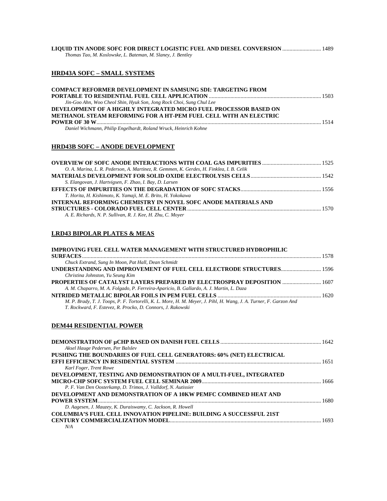| LIQUID TIN ANODE SOFC FOR DIRECT LOGISTIC FUEL AND DIESEL CONVERSION  1489 |  |
|----------------------------------------------------------------------------|--|
| Thomas Tao, M. Koslowske, L. Bateman, M. Slaney, J. Bentley                |  |

#### **HRD43A SOFC – SMALL SYSTEMS**

| <b>COMPACT REFORMER DEVELOPMENT IN SAMSUNG SDI: TARGETING FROM</b>      |  |
|-------------------------------------------------------------------------|--|
|                                                                         |  |
| Jin-Goo Ahn, Woo Cheol Shin, Hyuk Son, Jong Rock Choi, Sung Chul Lee    |  |
| DEVELOPMENT OF A HIGHLY INTEGRATED MICRO FUEL PROCESSOR BASED ON        |  |
| <b>METHANOL STEAM REFORMING FOR A HT-PEM FUEL CELL WITH AN ELECTRIC</b> |  |
|                                                                         |  |
| Daniel Wichmann, Philip Engelhardt, Roland Wruck, Heinrich Kohne        |  |

#### **HRD43B SOFC – ANODE DEVELOPMENT**

| O. A. Marina, L. R. Pederson, A. Martinez, R. Gemmen, K. Gerdes, H. Finklea, I. B. Celik |  |
|------------------------------------------------------------------------------------------|--|
|                                                                                          |  |
| S. Elangovan, J. Hartvigsen, F. Zhao, I. Bay, D. Larsen                                  |  |
|                                                                                          |  |
| T. Horita, H. Kishimoto, K. Yamaji, M. E. Brito, H. Yokokawa                             |  |
| INTERNAL REFORMING CHEMISTRY IN NOVEL SOFC ANODE MATERIALS AND                           |  |
|                                                                                          |  |
| A. E. Richards, N. P. Sullivan, R. J. Kee, H. Zhu, C. Moyer                              |  |
|                                                                                          |  |

#### **LRD43 BIPOLAR PLATES & MEAS**

| IMPROVING FUEL CELL WATER MANAGEMENT WITH STRUCTURED HYDROPHILIC                                                   |  |
|--------------------------------------------------------------------------------------------------------------------|--|
|                                                                                                                    |  |
| Chuck Extrand, Sung In Moon, Pat Hall, Dean Schmidt                                                                |  |
|                                                                                                                    |  |
| Christina Johnston, Yu Seung Kim                                                                                   |  |
| PROPERTIES OF CATALYST LAYERS PREPARED BY ELECTROSPRAY DEPOSITION  1607                                            |  |
| A. M. Chaparro, M. A. Folgado, P. Ferreira-Aparicio, B. Gallardo, A. J. Martin, L. Daza                            |  |
|                                                                                                                    |  |
| M. P. Brady, T. J. Toops, P. F. Tortorelli, K. L. More, H. M. Meyer, J. Pihl, H. Wang, J. A. Turner, F. Garzon And |  |
| T. Rockward, F. Estevez, R. Procko, D. Connors, J. Rakowski                                                        |  |
|                                                                                                                    |  |

#### **DEM44 RESIDENTIAL POWER**

| Aksel Hauge Pedersen, Per Balslev                                    |  |
|----------------------------------------------------------------------|--|
| PUSHING THE BOUNDARIES OF FUEL CELL GENERATORS: 60% (NET) ELECTRICAL |  |
|                                                                      |  |
| Karl Foger, Trent Rowe                                               |  |
| DEVELOPMENT, TESTING AND DEMONSTRATION OF A MULTI-FUEL, INTEGRATED   |  |
|                                                                      |  |
| P. F. Van Den Oosterkamp, D. Trimos, J. Valldorf, N. Autissier       |  |
| DEVELOPMENT AND DEMONSTRATION OF A 10KW PEMFC COMBINED HEAT AND      |  |
|                                                                      |  |
| D. Aagesen, J. Mauzey, K. Duraiswamy, C. Jackson, R. Howell          |  |
| COLUMBIA'S FUEL CELL INNOVATION PIPELINE: BUILDING A SUCCESSFUL 21ST |  |
| CENTURY COMMERCIALIZATION MODEL                                      |  |
| N/A                                                                  |  |